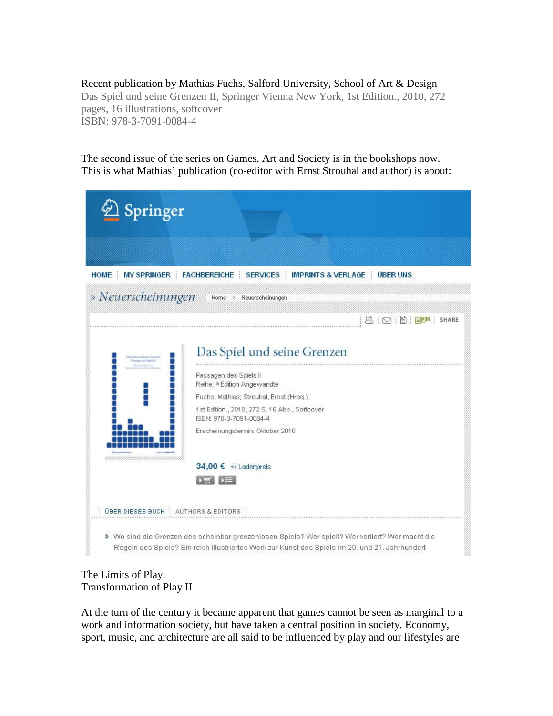Recent publication by Mathias Fuchs, Salford University, School of Art & Design Das Spiel und seine Grenzen II, Springer Vienna New York, 1st Edition., 2010, 272 pages, 16 illustrations, softcover ISBN: 978-3-7091-0084-4

The second issue of the series on Games, Art and Society is in the bookshops now. This is what Mathias' publication (co-editor with Ernst Strouhal and author) is about:

| Springer                             |                                                                                                                                                                                                   |
|--------------------------------------|---------------------------------------------------------------------------------------------------------------------------------------------------------------------------------------------------|
|                                      |                                                                                                                                                                                                   |
|                                      | HOME MY SPRINGER FACHBEREICHE SERVICES MPRINTS & VERLAGE ÜBER UNS                                                                                                                                 |
| » Neuerscheinungen                   | Home > Neuerscheinungen                                                                                                                                                                           |
|                                      | A   ⊙   B   <mark>88</mark>   SHARE                                                                                                                                                               |
|                                      | Das Spiel und seine Grenzen                                                                                                                                                                       |
|                                      | Passagen des Spiels II<br>Reihe: » Edition Angewandte                                                                                                                                             |
|                                      | Fuchs, Mathias; Strouhal, Ernst (Hrsg.)                                                                                                                                                           |
|                                      | 1st Edition., 2010, 272 S. 16 Abb., Softcover<br>ISBN: 978-3-7091-0084-4                                                                                                                          |
|                                      | Erscheinungstermin: Oktober 2010                                                                                                                                                                  |
|                                      | 34,00 € # Ladenpreis                                                                                                                                                                              |
|                                      | ▶蟲┃▶⋿                                                                                                                                                                                             |
| UBER DIESES BUCH : AUTHORS & EDITORS |                                                                                                                                                                                                   |
|                                      | Wo sind die Grenzen des scheinbar grenzenlosen Spiels? Wer spielt? Wer verliert? Wer macht die<br>Regeln des Spiels? Ein reich illustriertes Werk zur Kunst des Spiels im 20. und 21. Jahrhundert |

## The Limits of Play. Transformation of Play II

At the turn of the century it became apparent that games cannot be seen as marginal to a work and information society, but have taken a central position in society. Economy, sport, music, and architecture are all said to be influenced by play and our lifestyles are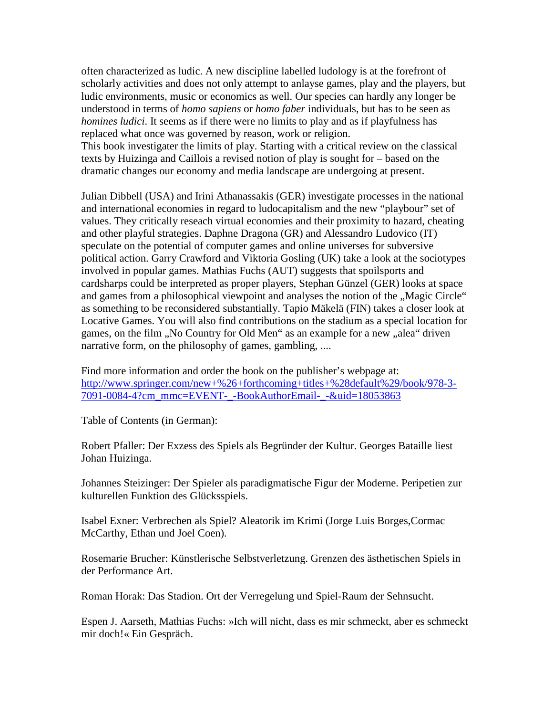often characterized as ludic. A new discipline labelled ludology is at the forefront of scholarly activities and does not only attempt to anlayse games, play and the players, but ludic environments, music or economics as well. Our species can hardly any longer be understood in terms of *homo sapiens* or *homo faber* individuals, but has to be seen as *homines ludici*. It seems as if there were no limits to play and as if playfulness has replaced what once was governed by reason, work or religion.

This book investigater the limits of play. Starting with a critical review on the classical texts by Huizinga and Caillois a revised notion of play is sought for – based on the dramatic changes our economy and media landscape are undergoing at present.

Julian Dibbell (USA) and Irini Athanassakis (GER) investigate processes in the national and international economies in regard to ludocapitalism and the new "playbour" set of values. They critically reseach virtual economies and their proximity to hazard, cheating and other playful strategies. Daphne Dragona (GR) and Alessandro Ludovico (IT) speculate on the potential of computer games and online universes for subversive political action. Garry Crawford and Viktoria Gosling (UK) take a look at the sociotypes involved in popular games. Mathias Fuchs (AUT) suggests that spoilsports and cardsharps could be interpreted as proper players, Stephan Günzel (GER) looks at space and games from a philosophical viewpoint and analyses the notion of the "Magic Circle" as something to be reconsidered substantially. Tapio Mäkelä (FIN) takes a closer look at Locative Games. You will also find contributions on the stadium as a special location for games, on the film "No Country for Old Men" as an example for a new "alea" driven narrative form, on the philosophy of games, gambling, ....

Find more information and order the book on the publisher's webpage at: [http://www.springer.com/new+%26+forthcoming+titles+%28default%29/book/978-3-](http://www.springer.com/new+%26+forthcoming+titles+%28default%29/book/978-3-7091-0084-4?cm_mmc=EVENT-_-BookAuthorEmail-_-&uid=18053863) [7091-0084-4?cm\\_mmc=EVENT-\\_-BookAuthorEmail-\\_-&uid=18053863](http://www.springer.com/new+%26+forthcoming+titles+%28default%29/book/978-3-7091-0084-4?cm_mmc=EVENT-_-BookAuthorEmail-_-&uid=18053863)

Table of Contents (in German):

Robert Pfaller: Der Exzess des Spiels als Begründer der Kultur. Georges Bataille liest Johan Huizinga.

Johannes Steizinger: Der Spieler als paradigmatische Figur der Moderne. Peripetien zur kulturellen Funktion des Glücksspiels.

Isabel Exner: Verbrechen als Spiel? Aleatorik im Krimi (Jorge Luis Borges,Cormac McCarthy, Ethan und Joel Coen).

Rosemarie Brucher: Künstlerische Selbstverletzung. Grenzen des ästhetischen Spiels in der Performance Art.

Roman Horak: Das Stadion. Ort der Verregelung und Spiel-Raum der Sehnsucht.

Espen J. Aarseth, Mathias Fuchs: »Ich will nicht, dass es mir schmeckt, aber es schmeckt mir doch!« Ein Gespräch.